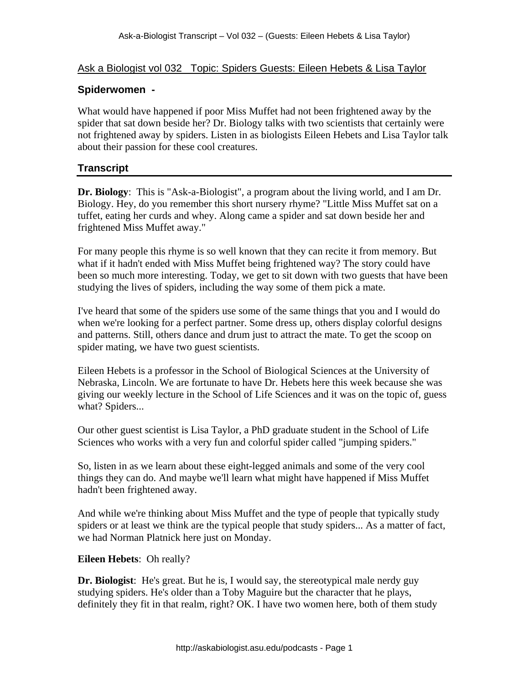## Ask a Biologist vol 032 Topic: Spiders Guests: Eileen Hebets & Lisa Taylor

### **Spiderwomen -**

What would have happened if poor Miss Muffet had not been frightened away by the spider that sat down beside her? Dr. Biology talks with two scientists that certainly were not frightened away by spiders. Listen in as biologists Eileen Hebets and Lisa Taylor talk about their passion for these cool creatures.

### **Transcript**

**Dr. Biology**: This is "Ask-a-Biologist", a program about the living world, and I am Dr. Biology. Hey, do you remember this short nursery rhyme? "Little Miss Muffet sat on a tuffet, eating her curds and whey. Along came a spider and sat down beside her and frightened Miss Muffet away."

For many people this rhyme is so well known that they can recite it from memory. But what if it hadn't ended with Miss Muffet being frightened way? The story could have been so much more interesting. Today, we get to sit down with two guests that have been studying the lives of spiders, including the way some of them pick a mate.

I've heard that some of the spiders use some of the same things that you and I would do when we're looking for a perfect partner. Some dress up, others display colorful designs and patterns. Still, others dance and drum just to attract the mate. To get the scoop on spider mating, we have two guest scientists.

Eileen Hebets is a professor in the School of Biological Sciences at the University of Nebraska, Lincoln. We are fortunate to have Dr. Hebets here this week because she was giving our weekly lecture in the School of Life Sciences and it was on the topic of, guess what? Spiders...

Our other guest scientist is Lisa Taylor, a PhD graduate student in the School of Life Sciences who works with a very fun and colorful spider called "jumping spiders."

So, listen in as we learn about these eight-legged animals and some of the very cool things they can do. And maybe we'll learn what might have happened if Miss Muffet hadn't been frightened away.

And while we're thinking about Miss Muffet and the type of people that typically study spiders or at least we think are the typical people that study spiders... As a matter of fact, we had Norman Platnick here just on Monday.

#### **Eileen Hebets**: Oh really?

**Dr. Biologist**: He's great. But he is, I would say, the stereotypical male nerdy guy studying spiders. He's older than a Toby Maguire but the character that he plays, definitely they fit in that realm, right? OK. I have two women here, both of them study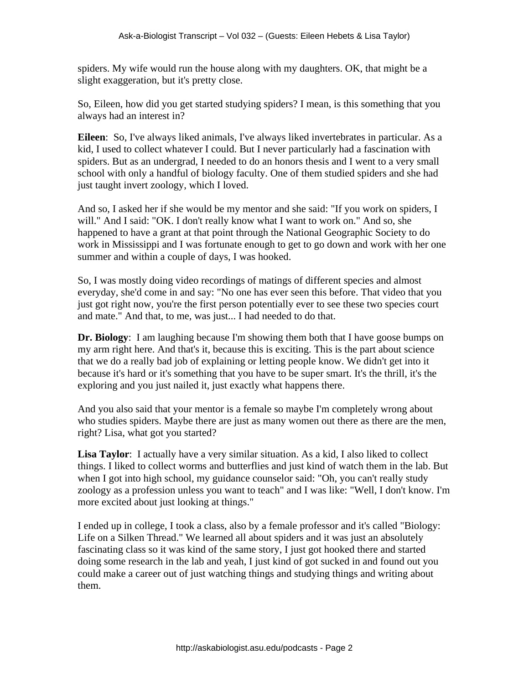spiders. My wife would run the house along with my daughters. OK, that might be a slight exaggeration, but it's pretty close.

So, Eileen, how did you get started studying spiders? I mean, is this something that you always had an interest in?

**Eileen**: So, I've always liked animals, I've always liked invertebrates in particular. As a kid, I used to collect whatever I could. But I never particularly had a fascination with spiders. But as an undergrad, I needed to do an honors thesis and I went to a very small school with only a handful of biology faculty. One of them studied spiders and she had just taught invert zoology, which I loved.

And so, I asked her if she would be my mentor and she said: "If you work on spiders, I will." And I said: "OK. I don't really know what I want to work on." And so, she happened to have a grant at that point through the National Geographic Society to do work in Mississippi and I was fortunate enough to get to go down and work with her one summer and within a couple of days, I was hooked.

So, I was mostly doing video recordings of matings of different species and almost everyday, she'd come in and say: "No one has ever seen this before. That video that you just got right now, you're the first person potentially ever to see these two species court and mate." And that, to me, was just... I had needed to do that.

**Dr. Biology**: I am laughing because I'm showing them both that I have goose bumps on my arm right here. And that's it, because this is exciting. This is the part about science that we do a really bad job of explaining or letting people know. We didn't get into it because it's hard or it's something that you have to be super smart. It's the thrill, it's the exploring and you just nailed it, just exactly what happens there.

And you also said that your mentor is a female so maybe I'm completely wrong about who studies spiders. Maybe there are just as many women out there as there are the men, right? Lisa, what got you started?

**Lisa Taylor**: I actually have a very similar situation. As a kid, I also liked to collect things. I liked to collect worms and butterflies and just kind of watch them in the lab. But when I got into high school, my guidance counselor said: "Oh, you can't really study zoology as a profession unless you want to teach" and I was like: "Well, I don't know. I'm more excited about just looking at things."

I ended up in college, I took a class, also by a female professor and it's called "Biology: Life on a Silken Thread." We learned all about spiders and it was just an absolutely fascinating class so it was kind of the same story, I just got hooked there and started doing some research in the lab and yeah, I just kind of got sucked in and found out you could make a career out of just watching things and studying things and writing about them.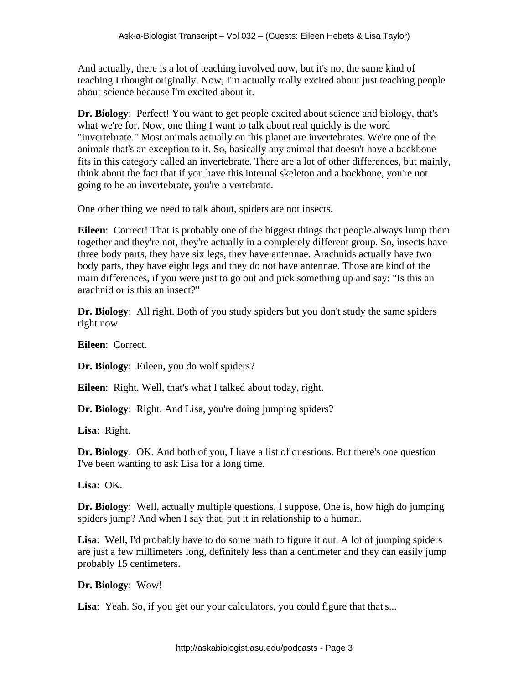And actually, there is a lot of teaching involved now, but it's not the same kind of teaching I thought originally. Now, I'm actually really excited about just teaching people about science because I'm excited about it.

**Dr. Biology**: Perfect! You want to get people excited about science and biology, that's what we're for. Now, one thing I want to talk about real quickly is the word "invertebrate." Most animals actually on this planet are invertebrates. We're one of the animals that's an exception to it. So, basically any animal that doesn't have a backbone fits in this category called an invertebrate. There are a lot of other differences, but mainly, think about the fact that if you have this internal skeleton and a backbone, you're not going to be an invertebrate, you're a vertebrate.

One other thing we need to talk about, spiders are not insects.

**Eileen**: Correct! That is probably one of the biggest things that people always lump them together and they're not, they're actually in a completely different group. So, insects have three body parts, they have six legs, they have antennae. Arachnids actually have two body parts, they have eight legs and they do not have antennae. Those are kind of the main differences, if you were just to go out and pick something up and say: "Is this an arachnid or is this an insect?"

**Dr. Biology**: All right. Both of you study spiders but you don't study the same spiders right now.

**Eileen**: Correct.

**Dr. Biology**: Eileen, you do wolf spiders?

**Eileen**: Right. Well, that's what I talked about today, right.

**Dr. Biology:** Right. And Lisa, you're doing jumping spiders?

**Lisa**: Right.

**Dr. Biology**: OK. And both of you, I have a list of questions. But there's one question I've been wanting to ask Lisa for a long time.

**Lisa**: OK.

**Dr. Biology**: Well, actually multiple questions, I suppose. One is, how high do jumping spiders jump? And when I say that, put it in relationship to a human.

**Lisa**: Well, I'd probably have to do some math to figure it out. A lot of jumping spiders are just a few millimeters long, definitely less than a centimeter and they can easily jump probably 15 centimeters.

**Dr. Biology**: Wow!

**Lisa**: Yeah. So, if you get our your calculators, you could figure that that's...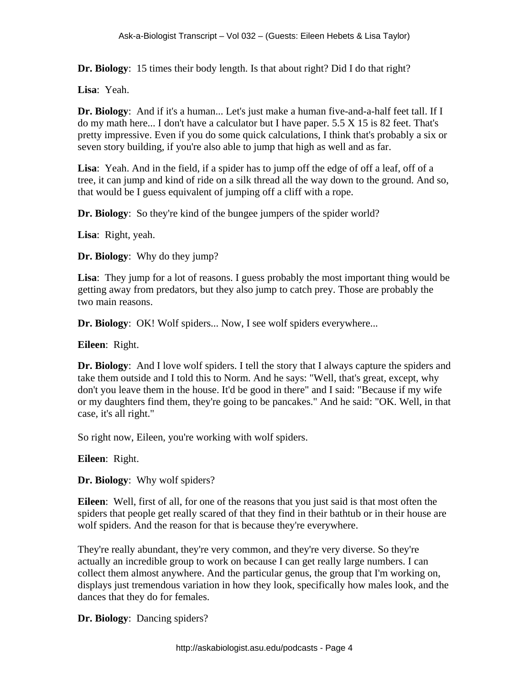**Dr. Biology**: 15 times their body length. Is that about right? Did I do that right?

**Lisa**: Yeah.

**Dr. Biology**: And if it's a human... Let's just make a human five-and-a-half feet tall. If I do my math here... I don't have a calculator but I have paper. 5.5 X 15 is 82 feet. That's pretty impressive. Even if you do some quick calculations, I think that's probably a six or seven story building, if you're also able to jump that high as well and as far.

**Lisa**: Yeah. And in the field, if a spider has to jump off the edge of off a leaf, off of a tree, it can jump and kind of ride on a silk thread all the way down to the ground. And so, that would be I guess equivalent of jumping off a cliff with a rope.

**Dr. Biology**: So they're kind of the bungee jumpers of the spider world?

**Lisa**: Right, yeah.

**Dr. Biology**: Why do they jump?

**Lisa**: They jump for a lot of reasons. I guess probably the most important thing would be getting away from predators, but they also jump to catch prey. Those are probably the two main reasons.

**Dr. Biology**: OK! Wolf spiders... Now, I see wolf spiders everywhere...

**Eileen**: Right.

**Dr. Biology**: And I love wolf spiders. I tell the story that I always capture the spiders and take them outside and I told this to Norm. And he says: "Well, that's great, except, why don't you leave them in the house. It'd be good in there" and I said: "Because if my wife or my daughters find them, they're going to be pancakes." And he said: "OK. Well, in that case, it's all right."

So right now, Eileen, you're working with wolf spiders.

**Eileen**: Right.

**Dr. Biology**: Why wolf spiders?

**Eileen**: Well, first of all, for one of the reasons that you just said is that most often the spiders that people get really scared of that they find in their bathtub or in their house are wolf spiders. And the reason for that is because they're everywhere.

They're really abundant, they're very common, and they're very diverse. So they're actually an incredible group to work on because I can get really large numbers. I can collect them almost anywhere. And the particular genus, the group that I'm working on, displays just tremendous variation in how they look, specifically how males look, and the dances that they do for females.

**Dr. Biology**: Dancing spiders?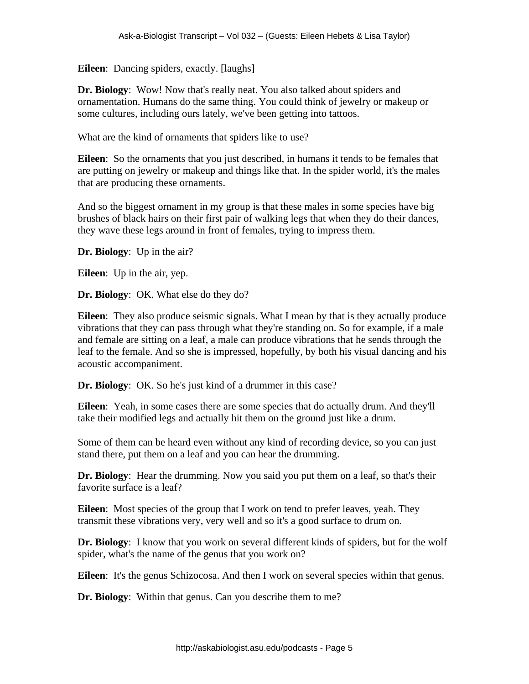**Eileen**: Dancing spiders, exactly. [laughs]

**Dr. Biology**: Wow! Now that's really neat. You also talked about spiders and ornamentation. Humans do the same thing. You could think of jewelry or makeup or some cultures, including ours lately, we've been getting into tattoos.

What are the kind of ornaments that spiders like to use?

**Eileen**: So the ornaments that you just described, in humans it tends to be females that are putting on jewelry or makeup and things like that. In the spider world, it's the males that are producing these ornaments.

And so the biggest ornament in my group is that these males in some species have big brushes of black hairs on their first pair of walking legs that when they do their dances, they wave these legs around in front of females, trying to impress them.

**Dr. Biology**: Up in the air?

**Eileen**: Up in the air, yep.

**Dr. Biology**: OK. What else do they do?

**Eileen**: They also produce seismic signals. What I mean by that is they actually produce vibrations that they can pass through what they're standing on. So for example, if a male and female are sitting on a leaf, a male can produce vibrations that he sends through the leaf to the female. And so she is impressed, hopefully, by both his visual dancing and his acoustic accompaniment.

**Dr. Biology**: OK. So he's just kind of a drummer in this case?

**Eileen**: Yeah, in some cases there are some species that do actually drum. And they'll take their modified legs and actually hit them on the ground just like a drum.

Some of them can be heard even without any kind of recording device, so you can just stand there, put them on a leaf and you can hear the drumming.

**Dr. Biology**: Hear the drumming. Now you said you put them on a leaf, so that's their favorite surface is a leaf?

**Eileen**: Most species of the group that I work on tend to prefer leaves, yeah. They transmit these vibrations very, very well and so it's a good surface to drum on.

**Dr. Biology**: I know that you work on several different kinds of spiders, but for the wolf spider, what's the name of the genus that you work on?

**Eileen**: It's the genus Schizocosa. And then I work on several species within that genus.

**Dr. Biology**: Within that genus. Can you describe them to me?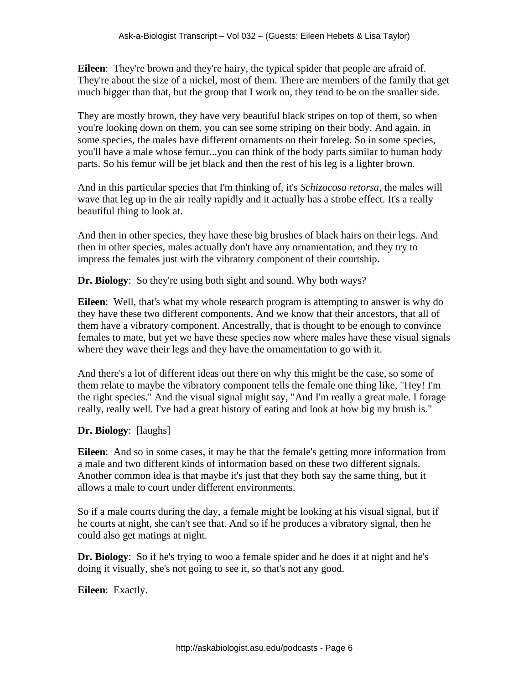**Eileen**: They're brown and they're hairy, the typical spider that people are afraid of. They're about the size of a nickel, most of them. There are members of the family that get much bigger than that, but the group that I work on, they tend to be on the smaller side.

They are mostly brown, they have very beautiful black stripes on top of them, so when you're looking down on them, you can see some striping on their body. And again, in some species, the males have different ornaments on their foreleg. So in some species, you'll have a male whose femur...you can think of the body parts similar to human body parts. So his femur will be jet black and then the rest of his leg is a lighter brown.

And in this particular species that I'm thinking of, it's *Schizocosa retorsa*, the males will wave that leg up in the air really rapidly and it actually has a strobe effect. It's a really beautiful thing to look at.

And then in other species, they have these big brushes of black hairs on their legs. And then in other species, males actually don't have any ornamentation, and they try to impress the females just with the vibratory component of their courtship.

**Dr. Biology**: So they're using both sight and sound. Why both ways?

**Eileen**: Well, that's what my whole research program is attempting to answer is why do they have these two different components. And we know that their ancestors, that all of them have a vibratory component. Ancestrally, that is thought to be enough to convince females to mate, but yet we have these species now where males have these visual signals where they wave their legs and they have the ornamentation to go with it.

And there's a lot of different ideas out there on why this might be the case, so some of them relate to maybe the vibratory component tells the female one thing like, "Hey! I'm the right species." And the visual signal might say, "And I'm really a great male. I forage really, really well. I've had a great history of eating and look at how big my brush is."

**Dr. Biology**: [laughs]

**Eileen**: And so in some cases, it may be that the female's getting more information from a male and two different kinds of information based on these two different signals. Another common idea is that maybe it's just that they both say the same thing, but it allows a male to court under different environments.

So if a male courts during the day, a female might be looking at his visual signal, but if he courts at night, she can't see that. And so if he produces a vibratory signal, then he could also get matings at night.

**Dr. Biology**: So if he's trying to woo a female spider and he does it at night and he's doing it visually, she's not going to see it, so that's not any good.

**Eileen**: Exactly.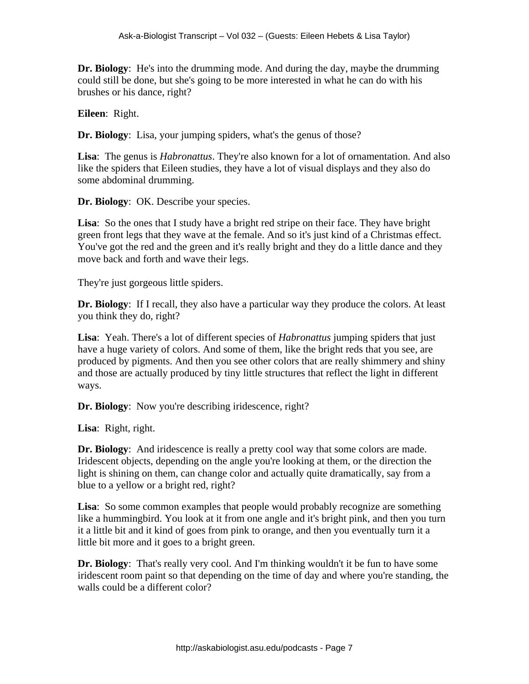**Dr. Biology**: He's into the drumming mode. And during the day, maybe the drumming could still be done, but she's going to be more interested in what he can do with his brushes or his dance, right?

**Eileen**: Right.

**Dr. Biology**: Lisa, your jumping spiders, what's the genus of those?

Lisa: The genus is *Habronattus*. They're also known for a lot of ornamentation. And also like the spiders that Eileen studies, they have a lot of visual displays and they also do some abdominal drumming.

**Dr. Biology**: OK. Describe your species.

**Lisa**: So the ones that I study have a bright red stripe on their face. They have bright green front legs that they wave at the female. And so it's just kind of a Christmas effect. You've got the red and the green and it's really bright and they do a little dance and they move back and forth and wave their legs.

They're just gorgeous little spiders.

**Dr. Biology**: If I recall, they also have a particular way they produce the colors. At least you think they do, right?

**Lisa**: Yeah. There's a lot of different species of *Habronattus* jumping spiders that just have a huge variety of colors. And some of them, like the bright reds that you see, are produced by pigments. And then you see other colors that are really shimmery and shiny and those are actually produced by tiny little structures that reflect the light in different ways.

**Dr. Biology**: Now you're describing iridescence, right?

**Lisa**: Right, right.

**Dr. Biology**: And iridescence is really a pretty cool way that some colors are made. Iridescent objects, depending on the angle you're looking at them, or the direction the light is shining on them, can change color and actually quite dramatically, say from a blue to a yellow or a bright red, right?

**Lisa**: So some common examples that people would probably recognize are something like a hummingbird. You look at it from one angle and it's bright pink, and then you turn it a little bit and it kind of goes from pink to orange, and then you eventually turn it a little bit more and it goes to a bright green.

**Dr. Biology**: That's really very cool. And I'm thinking wouldn't it be fun to have some iridescent room paint so that depending on the time of day and where you're standing, the walls could be a different color?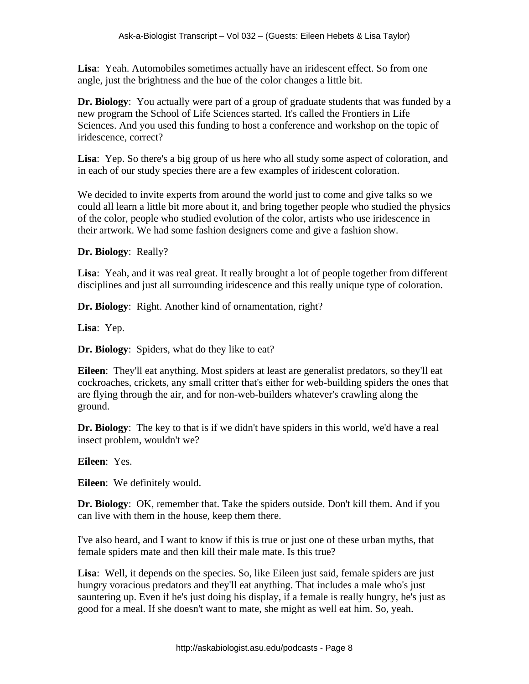**Lisa**: Yeah. Automobiles sometimes actually have an iridescent effect. So from one angle, just the brightness and the hue of the color changes a little bit.

**Dr. Biology**: You actually were part of a group of graduate students that was funded by a new program the School of Life Sciences started. It's called the Frontiers in Life Sciences. And you used this funding to host a conference and workshop on the topic of iridescence, correct?

**Lisa**: Yep. So there's a big group of us here who all study some aspect of coloration, and in each of our study species there are a few examples of iridescent coloration.

We decided to invite experts from around the world just to come and give talks so we could all learn a little bit more about it, and bring together people who studied the physics of the color, people who studied evolution of the color, artists who use iridescence in their artwork. We had some fashion designers come and give a fashion show.

**Dr. Biology**: Really?

**Lisa**: Yeah, and it was real great. It really brought a lot of people together from different disciplines and just all surrounding iridescence and this really unique type of coloration.

**Dr. Biology**: Right. Another kind of ornamentation, right?

**Lisa**: Yep.

**Dr. Biology**: Spiders, what do they like to eat?

**Eileen**: They'll eat anything. Most spiders at least are generalist predators, so they'll eat cockroaches, crickets, any small critter that's either for web-building spiders the ones that are flying through the air, and for non-web-builders whatever's crawling along the ground.

**Dr. Biology**: The key to that is if we didn't have spiders in this world, we'd have a real insect problem, wouldn't we?

**Eileen**: Yes.

**Eileen**: We definitely would.

**Dr. Biology**: OK, remember that. Take the spiders outside. Don't kill them. And if you can live with them in the house, keep them there.

I've also heard, and I want to know if this is true or just one of these urban myths, that female spiders mate and then kill their male mate. Is this true?

Lisa: Well, it depends on the species. So, like Eileen just said, female spiders are just hungry voracious predators and they'll eat anything. That includes a male who's just sauntering up. Even if he's just doing his display, if a female is really hungry, he's just as good for a meal. If she doesn't want to mate, she might as well eat him. So, yeah.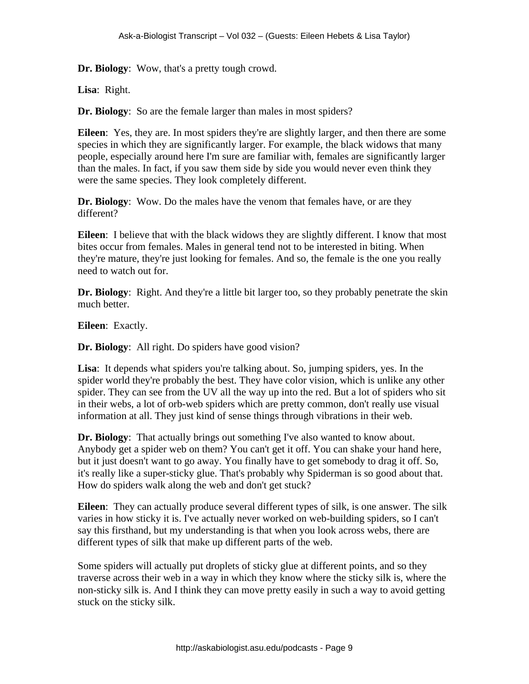**Dr. Biology**: Wow, that's a pretty tough crowd.

**Lisa**: Right.

**Dr. Biology**: So are the female larger than males in most spiders?

**Eileen**: Yes, they are. In most spiders they're are slightly larger, and then there are some species in which they are significantly larger. For example, the black widows that many people, especially around here I'm sure are familiar with, females are significantly larger than the males. In fact, if you saw them side by side you would never even think they were the same species. They look completely different.

**Dr. Biology**: Wow. Do the males have the venom that females have, or are they different?

**Eileen**: I believe that with the black widows they are slightly different. I know that most bites occur from females. Males in general tend not to be interested in biting. When they're mature, they're just looking for females. And so, the female is the one you really need to watch out for.

**Dr. Biology**: Right. And they're a little bit larger too, so they probably penetrate the skin much better.

**Eileen**: Exactly.

**Dr. Biology**: All right. Do spiders have good vision?

Lisa: It depends what spiders you're talking about. So, jumping spiders, yes. In the spider world they're probably the best. They have color vision, which is unlike any other spider. They can see from the UV all the way up into the red. But a lot of spiders who sit in their webs, a lot of orb-web spiders which are pretty common, don't really use visual information at all. They just kind of sense things through vibrations in their web.

**Dr. Biology**: That actually brings out something I've also wanted to know about. Anybody get a spider web on them? You can't get it off. You can shake your hand here, but it just doesn't want to go away. You finally have to get somebody to drag it off. So, it's really like a super-sticky glue. That's probably why Spiderman is so good about that. How do spiders walk along the web and don't get stuck?

**Eileen**: They can actually produce several different types of silk, is one answer. The silk varies in how sticky it is. I've actually never worked on web-building spiders, so I can't say this firsthand, but my understanding is that when you look across webs, there are different types of silk that make up different parts of the web.

Some spiders will actually put droplets of sticky glue at different points, and so they traverse across their web in a way in which they know where the sticky silk is, where the non-sticky silk is. And I think they can move pretty easily in such a way to avoid getting stuck on the sticky silk.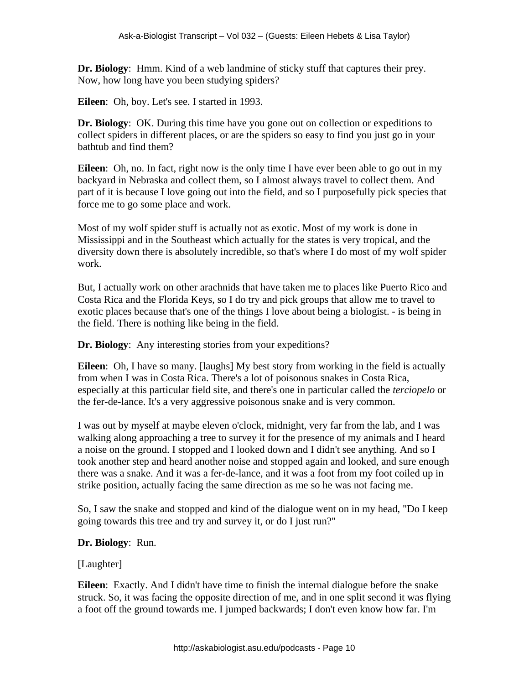**Dr. Biology**: Hmm. Kind of a web landmine of sticky stuff that captures their prey. Now, how long have you been studying spiders?

**Eileen**: Oh, boy. Let's see. I started in 1993.

**Dr. Biology**: OK. During this time have you gone out on collection or expeditions to collect spiders in different places, or are the spiders so easy to find you just go in your bathtub and find them?

**Eileen**: Oh, no. In fact, right now is the only time I have ever been able to go out in my backyard in Nebraska and collect them, so I almost always travel to collect them. And part of it is because I love going out into the field, and so I purposefully pick species that force me to go some place and work.

Most of my wolf spider stuff is actually not as exotic. Most of my work is done in Mississippi and in the Southeast which actually for the states is very tropical, and the diversity down there is absolutely incredible, so that's where I do most of my wolf spider work.

But, I actually work on other arachnids that have taken me to places like Puerto Rico and Costa Rica and the Florida Keys, so I do try and pick groups that allow me to travel to exotic places because that's one of the things I love about being a biologist. - is being in the field. There is nothing like being in the field.

**Dr. Biology**: Any interesting stories from your expeditions?

**Eileen**: Oh, I have so many. [laughs] My best story from working in the field is actually from when I was in Costa Rica. There's a lot of poisonous snakes in Costa Rica, especially at this particular field site, and there's one in particular called the *terciopelo* or the fer-de-lance. It's a very aggressive poisonous snake and is very common.

I was out by myself at maybe eleven o'clock, midnight, very far from the lab, and I was walking along approaching a tree to survey it for the presence of my animals and I heard a noise on the ground. I stopped and I looked down and I didn't see anything. And so I took another step and heard another noise and stopped again and looked, and sure enough there was a snake. And it was a fer-de-lance, and it was a foot from my foot coiled up in strike position, actually facing the same direction as me so he was not facing me.

So, I saw the snake and stopped and kind of the dialogue went on in my head, "Do I keep going towards this tree and try and survey it, or do I just run?"

# **Dr. Biology**: Run.

#### [Laughter]

**Eileen**: Exactly. And I didn't have time to finish the internal dialogue before the snake struck. So, it was facing the opposite direction of me, and in one split second it was flying a foot off the ground towards me. I jumped backwards; I don't even know how far. I'm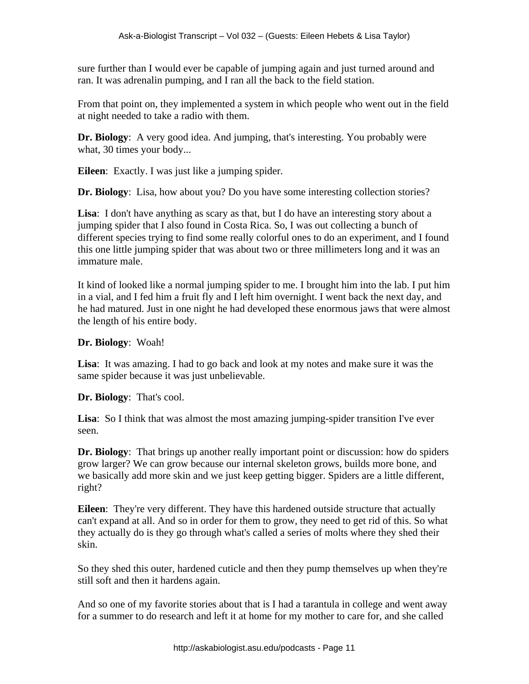sure further than I would ever be capable of jumping again and just turned around and ran. It was adrenalin pumping, and I ran all the back to the field station.

From that point on, they implemented a system in which people who went out in the field at night needed to take a radio with them.

**Dr. Biology**: A very good idea. And jumping, that's interesting. You probably were what, 30 times your body...

**Eileen**: Exactly. I was just like a jumping spider.

**Dr. Biology**: Lisa, how about you? Do you have some interesting collection stories?

**Lisa**: I don't have anything as scary as that, but I do have an interesting story about a jumping spider that I also found in Costa Rica. So, I was out collecting a bunch of different species trying to find some really colorful ones to do an experiment, and I found this one little jumping spider that was about two or three millimeters long and it was an immature male.

It kind of looked like a normal jumping spider to me. I brought him into the lab. I put him in a vial, and I fed him a fruit fly and I left him overnight. I went back the next day, and he had matured. Just in one night he had developed these enormous jaws that were almost the length of his entire body.

**Dr. Biology**: Woah!

**Lisa**: It was amazing. I had to go back and look at my notes and make sure it was the same spider because it was just unbelievable.

**Dr. Biology**: That's cool.

**Lisa**: So I think that was almost the most amazing jumping-spider transition I've ever seen.

**Dr. Biology**: That brings up another really important point or discussion: how do spiders grow larger? We can grow because our internal skeleton grows, builds more bone, and we basically add more skin and we just keep getting bigger. Spiders are a little different, right?

**Eileen**: They're very different. They have this hardened outside structure that actually can't expand at all. And so in order for them to grow, they need to get rid of this. So what they actually do is they go through what's called a series of molts where they shed their skin.

So they shed this outer, hardened cuticle and then they pump themselves up when they're still soft and then it hardens again.

And so one of my favorite stories about that is I had a tarantula in college and went away for a summer to do research and left it at home for my mother to care for, and she called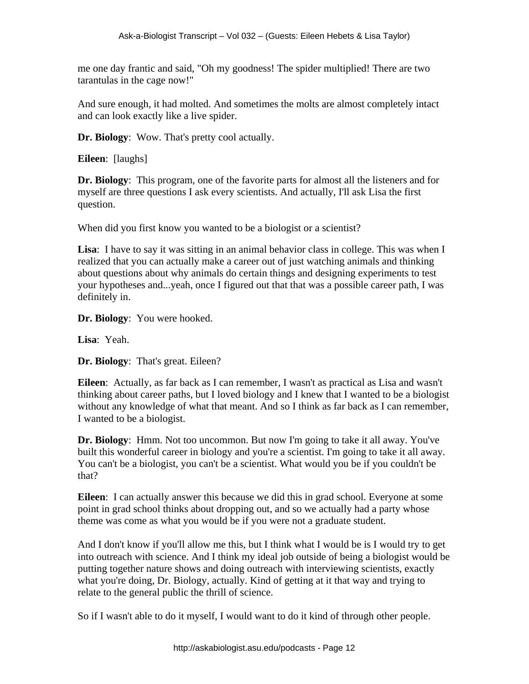me one day frantic and said, "Oh my goodness! The spider multiplied! There are two tarantulas in the cage now!"

And sure enough, it had molted. And sometimes the molts are almost completely intact and can look exactly like a live spider.

**Dr. Biology**: Wow. That's pretty cool actually.

**Eileen**: [laughs]

**Dr. Biology**: This program, one of the favorite parts for almost all the listeners and for myself are three questions I ask every scientists. And actually, I'll ask Lisa the first question.

When did you first know you wanted to be a biologist or a scientist?

**Lisa**: I have to say it was sitting in an animal behavior class in college. This was when I realized that you can actually make a career out of just watching animals and thinking about questions about why animals do certain things and designing experiments to test your hypotheses and...yeah, once I figured out that that was a possible career path, I was definitely in.

**Dr. Biology**: You were hooked.

**Lisa**: Yeah.

**Dr. Biology**: That's great. Eileen?

**Eileen**: Actually, as far back as I can remember, I wasn't as practical as Lisa and wasn't thinking about career paths, but I loved biology and I knew that I wanted to be a biologist without any knowledge of what that meant. And so I think as far back as I can remember, I wanted to be a biologist.

**Dr. Biology**: Hmm. Not too uncommon. But now I'm going to take it all away. You've built this wonderful career in biology and you're a scientist. I'm going to take it all away. You can't be a biologist, you can't be a scientist. What would you be if you couldn't be that?

**Eileen**: I can actually answer this because we did this in grad school. Everyone at some point in grad school thinks about dropping out, and so we actually had a party whose theme was come as what you would be if you were not a graduate student.

And I don't know if you'll allow me this, but I think what I would be is I would try to get into outreach with science. And I think my ideal job outside of being a biologist would be putting together nature shows and doing outreach with interviewing scientists, exactly what you're doing, Dr. Biology, actually. Kind of getting at it that way and trying to relate to the general public the thrill of science.

So if I wasn't able to do it myself, I would want to do it kind of through other people.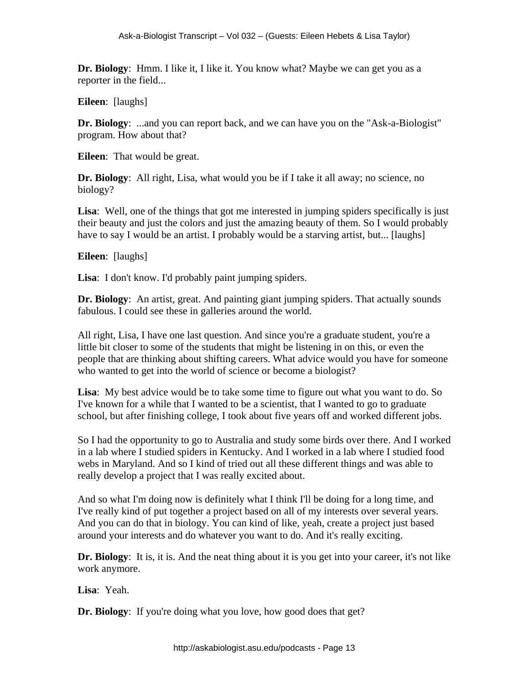**Dr. Biology**: Hmm. I like it, I like it. You know what? Maybe we can get you as a reporter in the field...

**Eileen**: [laughs]

**Dr. Biology:** ...and you can report back, and we can have you on the "Ask-a-Biologist" program. How about that?

**Eileen**: That would be great.

**Dr. Biology**: All right, Lisa, what would you be if I take it all away; no science, no biology?

**Lisa**: Well, one of the things that got me interested in jumping spiders specifically is just their beauty and just the colors and just the amazing beauty of them. So I would probably have to say I would be an artist. I probably would be a starving artist, but... [laughs]

**Eileen**: [laughs]

**Lisa**: I don't know. I'd probably paint jumping spiders.

**Dr. Biology**: An artist, great. And painting giant jumping spiders. That actually sounds fabulous. I could see these in galleries around the world.

All right, Lisa, I have one last question. And since you're a graduate student, you're a little bit closer to some of the students that might be listening in on this, or even the people that are thinking about shifting careers. What advice would you have for someone who wanted to get into the world of science or become a biologist?

**Lisa**: My best advice would be to take some time to figure out what you want to do. So I've known for a while that I wanted to be a scientist, that I wanted to go to graduate school, but after finishing college, I took about five years off and worked different jobs.

So I had the opportunity to go to Australia and study some birds over there. And I worked in a lab where I studied spiders in Kentucky. And I worked in a lab where I studied food webs in Maryland. And so I kind of tried out all these different things and was able to really develop a project that I was really excited about.

And so what I'm doing now is definitely what I think I'll be doing for a long time, and I've really kind of put together a project based on all of my interests over several years. And you can do that in biology. You can kind of like, yeah, create a project just based around your interests and do whatever you want to do. And it's really exciting.

**Dr. Biology**: It is, it is. And the neat thing about it is you get into your career, it's not like work anymore.

**Lisa**: Yeah.

**Dr. Biology**: If you're doing what you love, how good does that get?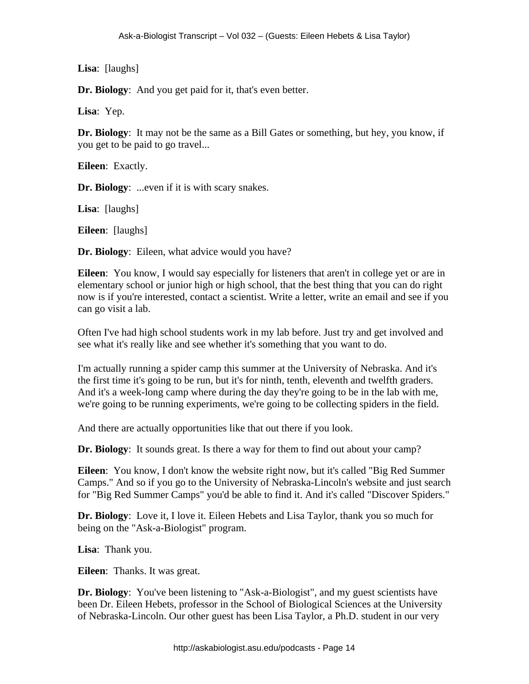**Lisa**: [laughs]

**Dr. Biology**: And you get paid for it, that's even better.

**Lisa**: Yep.

**Dr. Biology**: It may not be the same as a Bill Gates or something, but hey, you know, if you get to be paid to go travel...

**Eileen**: Exactly.

**Dr. Biology**: ...even if it is with scary snakes.

**Lisa**: [laughs]

**Eileen**: [laughs]

**Dr. Biology**: Eileen, what advice would you have?

**Eileen**: You know, I would say especially for listeners that aren't in college yet or are in elementary school or junior high or high school, that the best thing that you can do right now is if you're interested, contact a scientist. Write a letter, write an email and see if you can go visit a lab.

Often I've had high school students work in my lab before. Just try and get involved and see what it's really like and see whether it's something that you want to do.

I'm actually running a spider camp this summer at the University of Nebraska. And it's the first time it's going to be run, but it's for ninth, tenth, eleventh and twelfth graders. And it's a week-long camp where during the day they're going to be in the lab with me, we're going to be running experiments, we're going to be collecting spiders in the field.

And there are actually opportunities like that out there if you look.

**Dr. Biology**: It sounds great. Is there a way for them to find out about your camp?

**Eileen**: You know, I don't know the website right now, but it's called "Big Red Summer Camps." And so if you go to the University of Nebraska-Lincoln's website and just search for "Big Red Summer Camps" you'd be able to find it. And it's called "Discover Spiders."

**Dr. Biology**: Love it, I love it. Eileen Hebets and Lisa Taylor, thank you so much for being on the "Ask-a-Biologist" program.

**Lisa**: Thank you.

**Eileen**: Thanks. It was great.

**Dr. Biology**: You've been listening to "Ask-a-Biologist", and my guest scientists have been Dr. Eileen Hebets, professor in the School of Biological Sciences at the University of Nebraska-Lincoln. Our other guest has been Lisa Taylor, a Ph.D. student in our very